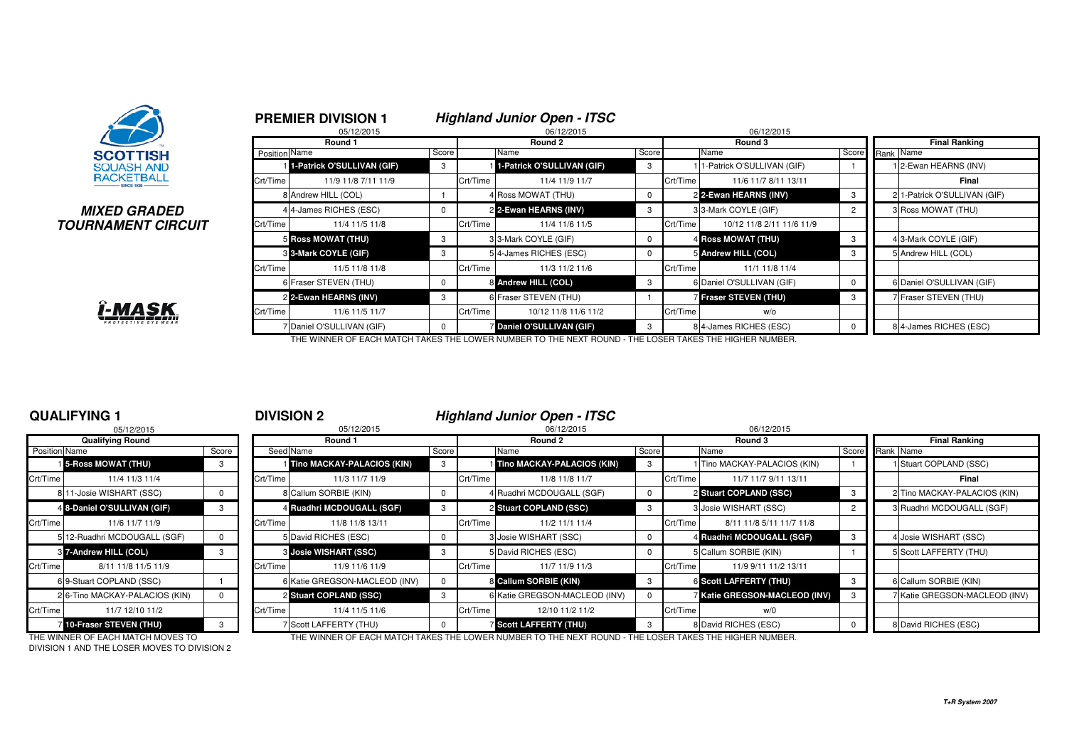

#### **MIXED GRADEDTOURNAMENT CIRCUIT**



THE WINNER OF EACH MATCH TAKES THE LOWER NUMBER TO THE NEXT ROUND - THE LOSER TAKES THE HIGHER NUMBER.

#### **QUALIFYING 1**

|               | 05/12/2015                     |       |          |
|---------------|--------------------------------|-------|----------|
|               | <b>Qualifying Round</b>        |       |          |
| Position Name |                                | Score | Seed     |
|               | <b>1</b> 5-Ross MOWAT (THU)    | 3     |          |
| Crt/Time      | 11/4 11/3 11/4                 |       | Crt/Time |
|               | 8 11-Josie WISHART (SSC)       | 0     | 8        |
|               | 4 8-Daniel O'SULLIVAN (GIF)    | 3     | 4        |
| Crt/Time      | 11/6 11/7 11/9                 |       | Crt/Time |
|               | 5 12-Ruadhri MCDOUGALL (SGF)   | 0     | 5        |
|               | 8 7-Andrew HILL (COL)          | 3     | 3        |
| Crt/Time      | 8/11 11/8 11/5 11/9            |       | Crt/Time |
| 6             | 9-Stuart COPLAND (SSC)         |       | 6        |
|               | 2 6-Tino MACKAY-PALACIOS (KIN) | O     | 2        |
| Crt/Time      | 11/7 12/10 11/2                |       | Crt/Time |
|               | 710-Fraser STEVEN (THU)        | 3     | 7        |

<sup>1</sup> **DIVISION 2 Highland Junior Open - ITSC**

|                      | 05/12/2015                        |       |          | 05/12/2015                       |       |          | 06/12/2015<br>06/12/2015                                                                             |       |          |                                      |       |           |                               |  |
|----------------------|-----------------------------------|-------|----------|----------------------------------|-------|----------|------------------------------------------------------------------------------------------------------|-------|----------|--------------------------------------|-------|-----------|-------------------------------|--|
|                      | <b>Qualifying Round</b>           |       | Round 1  |                                  |       |          | Round 2                                                                                              |       |          | Round 3                              |       |           | <b>Final Ranking</b>          |  |
| <b>Position Name</b> |                                   | Score |          | Seed Name                        | Score |          | Name                                                                                                 | Score |          | Name                                 | Score | Rank Name |                               |  |
|                      | 15-Ross MOWAT (THU)               |       |          | Tino MACKAY-PALACIOS (KIN)       |       |          | Tino MACKAY-PALACIOS (KIN)                                                                           |       |          | 1 Tino MACKAY-PALACIOS (KIN)         |       |           | Stuart COPLAND (SSC)          |  |
| Crt/Time             | 11/4 11/3 11/4                    |       | Crt/Time | 11/3 11/7 11/9                   |       | Crt/Time | 11/8 11/8 11/7                                                                                       |       | Crt/Time | 11/7 11/7 9/11 13/11                 |       |           | Final                         |  |
|                      | 8 11-Josie WISHART (SSC)          |       |          | 8 Callum SORBIE (KIN)            |       |          | 4 Ruadhri MCDOUGALL (SGF)                                                                            |       |          | 2 Stuart COPLAND (SSC)               |       |           | 2 Tino MACKAY-PALACIOS (KIN)  |  |
|                      | 4 8-Daniel O'SULLIVAN (GIF)       |       |          | 4 Ruadhri MCDOUGALL (SGF)        |       |          | 2 Stuart COPLAND (SSC)                                                                               |       |          | 3 Josie WISHART (SSC)                |       |           | 3 Ruadhri MCDOUGALL (SGF)     |  |
| Crt/Time             | 11/6 11/7 11/9                    |       | Crt/Time | 11/8 11/8 13/11                  |       | Crt/Time | 11/2 11/1 11/4                                                                                       |       | Crt/Time | 8/11 11/8 5/11 11/7 11/8             |       |           |                               |  |
|                      | 5 12-Ruadhri MCDOUGALL (SGF)      |       |          | David RICHES (ESC)               |       |          | Josie WISHART (SSC)                                                                                  |       |          | 4 Ruadhri MCDOUGALL (SGF)            |       |           | 4 Josie WISHART (SSC)         |  |
|                      | 3 7-Andrew HILL (COL)             |       |          | <b>&amp; Josie WISHART (SSC)</b> |       |          | 5 David RICHES (ESC)                                                                                 |       |          | 5 Callum SORBIE (KIN)                |       |           | 5 Scott LAFFERTY (THU)        |  |
| Crt/Time             | 8/11 11/8 11/5 11/9               |       | Crt/Time | 11/9 11/6 11/9                   |       | Crt/Time | 11/7 11/9 11/3                                                                                       |       | Crt/Time | 11/9 9/11 11/2 13/11                 |       |           |                               |  |
|                      | 69-Stuart COPLAND (SSC)           |       |          | 6 Katie GREGSON-MACLEOD (INV)    |       |          | 8 Callum SORBIE (KIN)                                                                                |       |          | <b>6 Scott LAFFERTY (THU)</b>        |       |           | 6 Callum SORBIE (KIN)         |  |
|                      | 2 6-Tino MACKAY-PALACIOS (KIN)    |       |          | 2 Stuart COPLAND (SSC)           | -3    |          | 6 Katie GREGSON-MACLEOD (INV)                                                                        |       |          | <b>7 Katie GREGSON-MACLEOD (INV)</b> |       |           | 7 Katie GREGSON-MACLEOD (INV) |  |
| Crt/Time             | 11/7 12/10 11/2                   |       | Crt/Time | 11/4 11/5 11/6                   |       | Crt/Time | 12/10 11/2 11/2                                                                                      |       | Crt/Time | w/0                                  |       |           |                               |  |
|                      | 10-Fraser STEVEN (THU)            |       |          | <b>Scott LAFFERTY (THU)</b>      |       |          | Scott LAFFERTY (THU)                                                                                 | 3     |          | 8 David RICHES (ESC)                 |       |           | 8 David RICHES (ESC)          |  |
|                      | THE WINNER OF EACH MATCH MOVES TO |       |          |                                  |       |          | THE WINNER OF EACH MATCH TAKES THE LOWER NUMBER TO THE MEVT ROUND. THE LOSER TAKES THE HIGHER MUMBER |       |          |                                      |       |           |                               |  |

DIVISION 1 AND THE LOSER MOVES TO DIVISION 2

THE WINNER OF EACH MATCH MOVES TO THE WINNER OF EACH MATCH TAKES THE LOWER NUMBER TO THE NEXT ROUND - THE LOSER TAKES THE HIGHER NUMBER.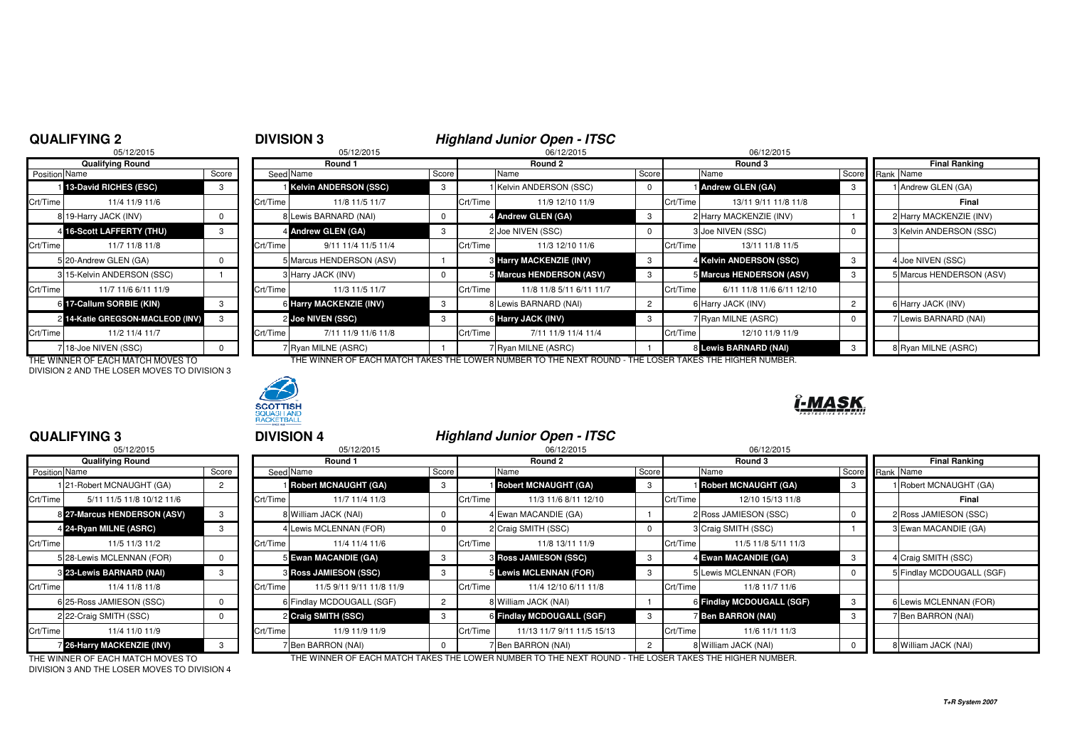## **QUALIFYING 2**

|                | 05/12/2015                     |       |
|----------------|--------------------------------|-------|
|                | <b>Qualifying Round</b>        |       |
| Position Name  |                                | Score |
| 11             | 13-David RICHES (ESC)          | 3     |
| Crt/Time       | 11/4 11/9 11/6                 |       |
|                | 8 19-Harry JACK (INV)          | 0     |
| 4              | <b>16-Scott LAFFERTY (THU)</b> | 3     |
| Crt/Time       | 11/7 11/8 11/8                 |       |
|                | 5 20-Andrew GLEN (GA)          | 0     |
|                | 315-Kelvin ANDERSON (SSC)      |       |
| Crt/Time       | 11/7 11/6 6/11 11/9            |       |
| 61             | 17-Callum SORBIE (KIN)         | 3     |
| $\overline{2}$ | 14-Katie GREGSON-MACLEOD (INV) | 3     |
| Crt/Time       | 11/2 11/4 11/7                 |       |
| 7              | 18-Joe NIVEN (SSC)             |       |

DIVISION 2 AND THE LOSER MOVES TO DIVISION 3



| QUALIFYING 2  |                                  |       | <b>DIVISION 3</b> |                              |            | Highland Junior Open - ITSC |                                |       |            |                           |  |                          |
|---------------|----------------------------------|-------|-------------------|------------------------------|------------|-----------------------------|--------------------------------|-------|------------|---------------------------|--|--------------------------|
| 05/12/2015    |                                  |       | 05/12/2015        |                              | 06/12/2015 |                             |                                |       | 06/12/2015 |                           |  |                          |
|               | <b>Qualifying Round</b>          |       |                   | Round 1                      |            | Round 2                     |                                |       | Round 3    |                           |  | <b>Final Ranking</b>     |
| Position Name |                                  | Score |                   | Seed Name                    | Score      |                             | Name                           | Score |            | Name                      |  | Score Rank Name          |
|               | 113-David RICHES (ESC)           | 3     |                   | <b>Kelvin ANDERSON (SSC)</b> | 3          |                             | Kelvin ANDERSON (SSC)          |       |            | Andrew GLEN (GA)          |  | 1 Andrew GLEN (GA)       |
| Crt/Time      | 11/4 11/9 11/6                   |       | Crt/Time          | 11/8 11/5 11/7               |            | Crt/Time                    | 11/9 12/10 11/9                |       | Crt/Time   | 13/11 9/11 11/8 11/8      |  | Final                    |
|               | 8 19-Harry JACK (INV)            |       |                   | 8 Lewis BARNARD (NAI)        | $^{\circ}$ |                             | 4 Andrew GLEN (GA)             | -3    |            | 2 Harry MACKENZIE (INV)   |  | 2 Harry MACKENZIE (INV)  |
|               | 4 16-Scott LAFFERTY (THU)        |       |                   | 4 Andrew GLEN (GA)           | 3          |                             | 2 Joe NIVEN (SSC)              |       |            | 3 Joe NIVEN (SSC)         |  | 3 Kelvin ANDERSON (SSC)  |
| Crt/Time      | 11/7 11/8 11/8                   |       | Crt/Time          | 9/11 11/4 11/5 11/4          |            | Crt/Time                    | 11/3 12/10 11/6                |       | Crt/Time   | 13/11 11/8 11/5           |  |                          |
|               | 5 20-Andrew GLEN (GA)            |       |                   | 5 Marcus HENDERSON (ASV)     |            |                             | <b>3 Harry MACKENZIE (INV)</b> |       |            | 4 Kelvin ANDERSON (SSC)   |  | 4 Joe NIVEN (SSC)        |
|               | 3 15-Kelvin ANDERSON (SSC)       |       |                   | 3 Harry JACK (INV)           | $^{\circ}$ |                             | 5 Marcus HENDERSON (ASV)       |       |            | 5 Marcus HENDERSON (ASV)  |  | 5 Marcus HENDERSON (ASV) |
| Crt/Time      | 11/7 11/6 6/11 11/9              |       | Crt/Time          | 11/3 11/5 11/7               |            | Crt/Time                    | 11/8 11/8 5/11 6/11 11/7       |       | Crt/Time   | 6/11 11/8 11/6 6/11 12/10 |  |                          |
|               | 6 17-Callum SORBIE (KIN)         |       |                   | 6 Harry MACKENZIE (INV)      | 3          |                             | 8 Lewis BARNARD (NAI)          |       |            | 6 Harry JACK (INV)        |  | 6 Harry JACK (INV)       |
|               | 2 14-Katie GREGSON-MACLEOD (INV) |       |                   | 2 Joe NIVEN (SSC)            | 3          |                             | 6 Harry JACK (INV)             |       |            | 7 Ryan MILNE (ASRC)       |  | Lewis BARNARD (NAI)      |
| Crt/Time      | 11/2 11/4 11/7                   |       | Crt/Time          | 7/11 11/9 11/6 11/8          |            | Crt/Time                    | 7/11 11/9 11/4 11/4            |       | Crt/Time   | 12/10 11/9 11/9           |  |                          |
|               | 718-Joe NIVEN (SSC)              |       |                   | 7 Ryan MILNE (ASRC)          |            |                             | 7 Ryan MILNE (ASRC)            |       |            | 8 Lewis BARNARD (NAI)     |  | 8 Ryan MILNE (ASRC)      |

THE WINNER OF EACH MATCH MOVES TO THE WINNER OF EACH MATCH TAKES THE LOWER NUMBER TO THE NEXT ROUND - THE LOSER TAKES THE HIGHER NUMBER.



### **QUALIFYING 3**

|                      | 05/12/2015                  |       |          |
|----------------------|-----------------------------|-------|----------|
|                      | <b>Qualifying Round</b>     |       |          |
| <b>Position Name</b> |                             | Score | Seed     |
|                      | 21-Robert MCNAUGHT (GA)     | 2     |          |
| Crt/Time             | 5/11 11/5 11/8 10/12 11/6   |       | Crt/Time |
|                      | 8 27-Marcus HENDERSON (ASV) | 3     | 8        |
|                      | 4 24-Ryan MILNE (ASRC)      | 3     | 4        |
| Crt/Time             | 11/5 11/3 11/2              |       | Crt/Time |
|                      | 5 28-Lewis MCLENNAN (FOR)   | O     | 5        |
|                      | 8 23-Lewis BARNARD (NAI)    | 3     | 3        |
| Crt/Time             | 11/4 11/8 11/8              |       | Crt/Time |
| 6                    | 25-Ross JAMIESON (SSC)      | 0     | 6        |
|                      | 2 22-Craig SMITH (SSC)      | 0     | 2        |
| Crt/Time             | 11/4 11/0 11/9              |       | Crt/Time |
|                      | 26-Harry MACKENZIE (INV)    | 3     | 7        |

| <b>DIVISION 4</b> | <b>Highland Junior Open - ITSC</b> |
|-------------------|------------------------------------|
|                   |                                    |

| 05/12/2015<br>05/12/2015 |                                   |       |          |                               |       |          | 06/12/2015<br>06/12/2015     |       |          |                             |     |                           |  |
|--------------------------|-----------------------------------|-------|----------|-------------------------------|-------|----------|------------------------------|-------|----------|-----------------------------|-----|---------------------------|--|
|                          | <b>Qualifying Round</b>           |       | Round 1  |                               |       |          | Round 2                      |       | Round 3  |                             |     | <b>Final Ranking</b>      |  |
| Position Name            |                                   | Score |          | Seed Name                     | Score |          | Name                         | Score |          | Name                        |     | Score Rank Name           |  |
|                          | 121-Robert MCNAUGHT (GA)          |       |          | <b>I Robert MCNAUGHT (GA)</b> | -3    |          | <b>Bobert MCNAUGHT (GA)</b>  |       |          | <b>Bobert MCNAUGHT (GA)</b> |     | 1 Robert MCNAUGHT (GA)    |  |
| Crt/Time                 | 5/11 11/5 11/8 10/12 11/6         |       | Crt/Time | 11/7 11/4 11/3                |       | Crt/Time | 11/3 11/6 8/11 12/10         |       | Crt/Time | 12/10 15/13 11/8            |     | Final                     |  |
|                          | 8 27-Marcus HENDERSON (ASV)       |       |          | 8 William JACK (NAI)          |       |          | 4 Ewan MACANDIE (GA)         |       |          | 2 Ross JAMIESON (SSC)       |     | 2 Ross JAMIESON (SSC)     |  |
|                          | 4 24-Ryan MILNE (ASRC)            |       |          | 4 Lewis MCLENNAN (FOR)        |       |          | 2 Craig SMITH (SSC)          |       |          | 3 Craig SMITH (SSC)         |     | 3 Ewan MACANDIE (GA)      |  |
| Crt/Time                 | 11/5 11/3 11/2                    |       | Crt/Time | 11/4 11/4 11/6                |       | Crt/Time | 11/8 13/11 11/9              |       | Crt/Time | 11/5 11/8 5/11 11/3         |     |                           |  |
|                          | 5 28-Lewis MCLENNAN (FOR)         |       |          | 5 Ewan MACANDIE (GA)          | -3    |          | <b>8 Ross JAMIESON (SSC)</b> |       |          | 4 Ewan MACANDIE (GA)        | - 3 | 4 Craig SMITH (SSC)       |  |
|                          | 3 23-Lewis BARNARD (NAI)          |       |          | <b>8 Ross JAMIESON (SSC)</b>  | -3    |          | 5 Lewis MCLENNAN (FOR)       |       |          | 5 Lewis MCLENNAN (FOR)      |     | 5 Findlay MCDOUGALL (SGF) |  |
| Crt/Time                 | 11/4 11/8 11/8                    |       | Crt/Time | 11/5 9/11 9/11 11/8 11/9      |       | Crt/Time | 11/4 12/10 6/11 11/8         |       | Crt/Time | 11/8 11/7 11/6              |     |                           |  |
|                          | 6 25-Ross JAMIESON (SSC)          |       |          | 6 Findlay MCDOUGALL (SGF)     |       |          | 8 William JACK (NAI)         |       |          | 6 Findlay MCDOUGALL (SGF)   |     | 6 Lewis MCLENNAN (FOR)    |  |
|                          | 22-Craig SMITH (SSC)              |       |          | 2 Craig SMITH (SSC)           |       |          | 6 Findlay MCDOUGALL (SGF)    |       |          | <b>7 Ben BARRON (NAI)</b>   |     | 7 Ben BARRON (NAI)        |  |
| Crt/Time                 | 11/4 11/0 11/9                    |       | Crt/Time | 11/9 11/9 11/9                |       | Crt/Time | 11/13 11/7 9/11 11/5 15/13   |       | Crt/Time | 11/6 11/1 11/3              |     |                           |  |
|                          | <b>7 26-Harry MACKENZIE (INV)</b> |       |          | 7 Ben BARRON (NAI)            |       |          | 7 Ben BARRON (NAI)           |       |          | 8 William JACK (NAI)        |     | 8 William JACK (NAI)      |  |
|                          |                                   |       |          |                               |       |          |                              |       |          |                             |     |                           |  |

DIVISION 3 AND THE LOSER MOVES TO DIVISION 4

THE WINNER OF EACH MATCH MOVES TO THE WINNER OF EACH MATCH TAKES THE LOWER NUMBER TO THE NEXT ROUND - THE LOSER TAKES THE HIGHER NUMBER.